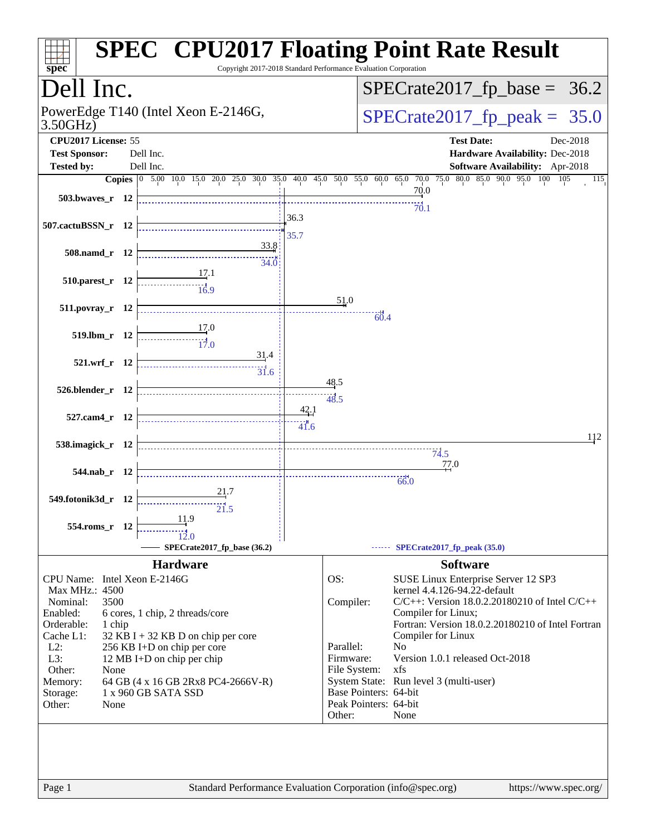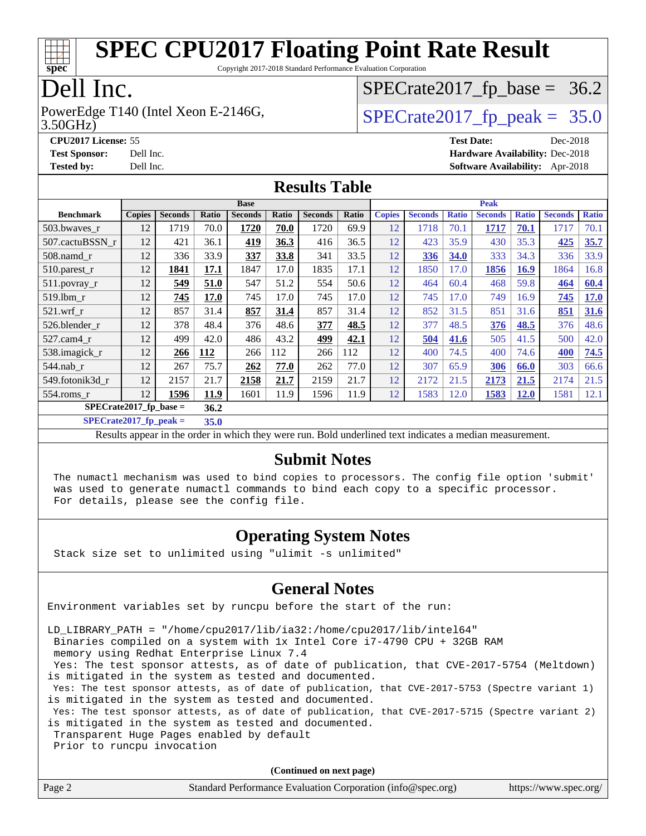

Copyright 2017-2018 Standard Performance Evaluation Corporation

## Dell Inc.

3.50GHz) PowerEdge T140 (Intel Xeon E-2146G,  $\vert$  [SPECrate2017\\_fp\\_peak =](http://www.spec.org/auto/cpu2017/Docs/result-fields.html#SPECrate2017fppeak) 35.0

 $SPECTate2017_fp\_base = 36.2$ 

**[CPU2017 License:](http://www.spec.org/auto/cpu2017/Docs/result-fields.html#CPU2017License)** 55 **[Test Date:](http://www.spec.org/auto/cpu2017/Docs/result-fields.html#TestDate)** Dec-2018 **[Test Sponsor:](http://www.spec.org/auto/cpu2017/Docs/result-fields.html#TestSponsor)** Dell Inc. **[Hardware Availability:](http://www.spec.org/auto/cpu2017/Docs/result-fields.html#HardwareAvailability)** Dec-2018 **[Tested by:](http://www.spec.org/auto/cpu2017/Docs/result-fields.html#Testedby)** Dell Inc. **[Software Availability:](http://www.spec.org/auto/cpu2017/Docs/result-fields.html#SoftwareAvailability)** Apr-2018

#### **[Results Table](http://www.spec.org/auto/cpu2017/Docs/result-fields.html#ResultsTable)**

|                                  | <b>Base</b>   |                |       |                |       | <b>Peak</b>    |       |               |                |              |                |              |                |              |
|----------------------------------|---------------|----------------|-------|----------------|-------|----------------|-------|---------------|----------------|--------------|----------------|--------------|----------------|--------------|
| <b>Benchmark</b>                 | <b>Copies</b> | <b>Seconds</b> | Ratio | <b>Seconds</b> | Ratio | <b>Seconds</b> | Ratio | <b>Copies</b> | <b>Seconds</b> | <b>Ratio</b> | <b>Seconds</b> | <b>Ratio</b> | <b>Seconds</b> | <b>Ratio</b> |
| 503.bwaves_r                     | 12            | 1719           | 70.0  | 1720           | 70.0  | 1720           | 69.9  | 12            | 1718           | 70.1         | 1717           | 70.1         | 1717           | 70.1         |
| 507.cactuBSSN r                  | 12            | 421            | 36.1  | <u>419</u>     | 36.3  | 416            | 36.5  | 12            | 423            | 35.9         | 430            | 35.3         | 425            | 35.7         |
| $508$ .namd $r$                  | 12            | 336            | 33.9  | 337            | 33.8  | 341            | 33.5  | 12            | 336            | 34.0         | 333            | 34.3         | 336            | 33.9         |
| $510.parest_r$                   | 12            | 1841           | 17.1  | 1847           | 17.0  | 1835           | 17.1  | 12            | 1850           | 17.0         | 1856           | <b>16.9</b>  | 1864           | 16.8         |
| 511.povray_r                     | 12            | 549            | 51.0  | 547            | 51.2  | 554            | 50.6  | 12            | 464            | 60.4         | 468            | 59.8         | 464            | 60.4         |
| 519.lbm r                        | 12            | 745            | 17.0  | 745            | 17.0  | 745            | 17.0  | 12            | 745            | 17.0         | 749            | 16.9         | 745            | 17.0         |
| $521$ .wrf r                     | 12            | 857            | 31.4  | 857            | 31.4  | 857            | 31.4  | 12            | 852            | 31.5         | 851            | 31.6         | 851            | 31.6         |
| 526.blender_r                    | 12            | 378            | 48.4  | 376            | 48.6  | 377            | 48.5  | 12            | 377            | 48.5         | 376            | 48.5         | 376            | 48.6         |
| 527.cam4 r                       | 12            | 499            | 42.0  | 486            | 43.2  | 499            | 42.1  | 12            | 504            | 41.6         | 505            | 41.5         | 500            | 42.0         |
| 538.imagick_r                    | 12            | 266            | 112   | 266            | 112   | 266            | 112   | 12            | 400            | 74.5         | 400            | 74.6         | 400            | 74.5         |
| $544$ .nab r                     | 12            | 267            | 75.7  | 262            | 77.0  | 262            | 77.0  | 12            | 307            | 65.9         | 306            | 66.0         | 303            | 66.6         |
| 549.fotonik3d r                  | 12            | 2157           | 21.7  | 2158           | 21.7  | 2159           | 21.7  | 12            | 2172           | 21.5         | 2173           | 21.5         | 2174           | 21.5         |
| $554$ .roms_r                    | 12            | 1596           | 11.9  | 1601           | 11.9  | 1596           | 11.9  | 12            | 1583           | 12.0         | 1583           | 12.0         | 1581           | 12.1         |
| SPECrate2017 fp base $=$<br>36.2 |               |                |       |                |       |                |       |               |                |              |                |              |                |              |

**[SPECrate2017\\_fp\\_peak =](http://www.spec.org/auto/cpu2017/Docs/result-fields.html#SPECrate2017fppeak) 35.0**

Results appear in the [order in which they were run.](http://www.spec.org/auto/cpu2017/Docs/result-fields.html#RunOrder) Bold underlined text [indicates a median measurement.](http://www.spec.org/auto/cpu2017/Docs/result-fields.html#Median)

#### **[Submit Notes](http://www.spec.org/auto/cpu2017/Docs/result-fields.html#SubmitNotes)**

 The numactl mechanism was used to bind copies to processors. The config file option 'submit' was used to generate numactl commands to bind each copy to a specific processor. For details, please see the config file.

### **[Operating System Notes](http://www.spec.org/auto/cpu2017/Docs/result-fields.html#OperatingSystemNotes)**

Stack size set to unlimited using "ulimit -s unlimited"

### **[General Notes](http://www.spec.org/auto/cpu2017/Docs/result-fields.html#GeneralNotes)**

Environment variables set by runcpu before the start of the run:

LD\_LIBRARY\_PATH = "/home/cpu2017/lib/ia32:/home/cpu2017/lib/intel64"

Binaries compiled on a system with 1x Intel Core i7-4790 CPU + 32GB RAM

memory using Redhat Enterprise Linux 7.4

 Yes: The test sponsor attests, as of date of publication, that CVE-2017-5754 (Meltdown) is mitigated in the system as tested and documented.

 Yes: The test sponsor attests, as of date of publication, that CVE-2017-5753 (Spectre variant 1) is mitigated in the system as tested and documented.

 Yes: The test sponsor attests, as of date of publication, that CVE-2017-5715 (Spectre variant 2) is mitigated in the system as tested and documented.

Transparent Huge Pages enabled by default

Prior to runcpu invocation

**(Continued on next page)**

| Page 2 | Standard Performance Evaluation Corporation (info@spec.org) | https://www.spec.org/ |
|--------|-------------------------------------------------------------|-----------------------|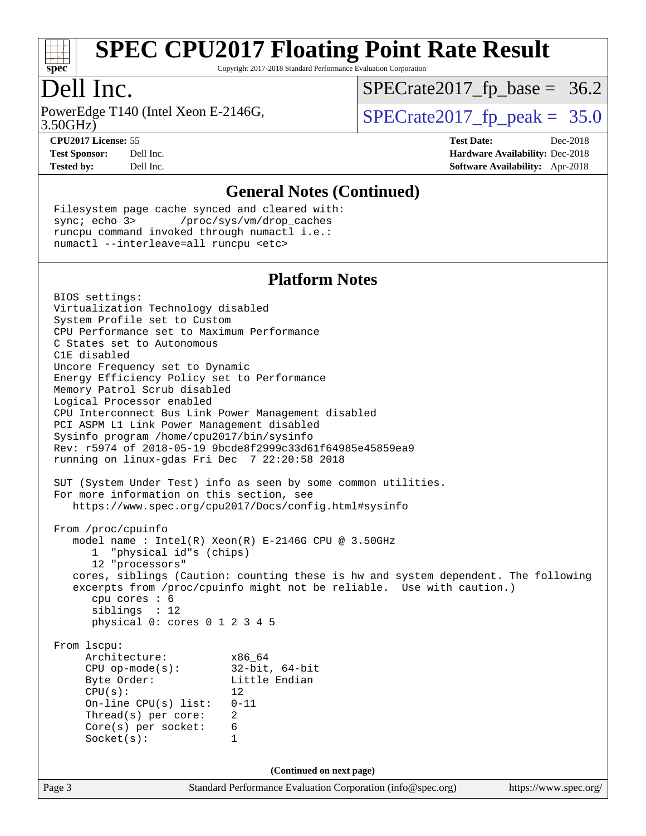

Copyright 2017-2018 Standard Performance Evaluation Corporation

## Dell Inc.

3.50GHz) PowerEdge T140 (Intel Xeon E-2146G,  $\vert$  [SPECrate2017\\_fp\\_peak =](http://www.spec.org/auto/cpu2017/Docs/result-fields.html#SPECrate2017fppeak) 35.0

 $SPECTate2017_fp\_base = 36.2$ 

**[CPU2017 License:](http://www.spec.org/auto/cpu2017/Docs/result-fields.html#CPU2017License)** 55 **[Test Date:](http://www.spec.org/auto/cpu2017/Docs/result-fields.html#TestDate)** Dec-2018 **[Test Sponsor:](http://www.spec.org/auto/cpu2017/Docs/result-fields.html#TestSponsor)** Dell Inc. **[Hardware Availability:](http://www.spec.org/auto/cpu2017/Docs/result-fields.html#HardwareAvailability)** Dec-2018 **[Tested by:](http://www.spec.org/auto/cpu2017/Docs/result-fields.html#Testedby)** Dell Inc. **[Software Availability:](http://www.spec.org/auto/cpu2017/Docs/result-fields.html#SoftwareAvailability)** Apr-2018

#### **[General Notes \(Continued\)](http://www.spec.org/auto/cpu2017/Docs/result-fields.html#GeneralNotes)**

 Filesystem page cache synced and cleared with: sync; echo 3> /proc/sys/vm/drop\_caches runcpu command invoked through numactl i.e.: numactl --interleave=all runcpu <etc>

#### **[Platform Notes](http://www.spec.org/auto/cpu2017/Docs/result-fields.html#PlatformNotes)**

Page 3 Standard Performance Evaluation Corporation [\(info@spec.org\)](mailto:info@spec.org) <https://www.spec.org/> BIOS settings: Virtualization Technology disabled System Profile set to Custom CPU Performance set to Maximum Performance C States set to Autonomous C1E disabled Uncore Frequency set to Dynamic Energy Efficiency Policy set to Performance Memory Patrol Scrub disabled Logical Processor enabled CPU Interconnect Bus Link Power Management disabled PCI ASPM L1 Link Power Management disabled Sysinfo program /home/cpu2017/bin/sysinfo Rev: r5974 of 2018-05-19 9bcde8f2999c33d61f64985e45859ea9 running on linux-gdas Fri Dec 7 22:20:58 2018 SUT (System Under Test) info as seen by some common utilities. For more information on this section, see <https://www.spec.org/cpu2017/Docs/config.html#sysinfo> From /proc/cpuinfo model name : Intel(R) Xeon(R) E-2146G CPU @ 3.50GHz 1 "physical id"s (chips) 12 "processors" cores, siblings (Caution: counting these is hw and system dependent. The following excerpts from /proc/cpuinfo might not be reliable. Use with caution.) cpu cores : 6 siblings : 12 physical 0: cores 0 1 2 3 4 5 From lscpu: Architecture: x86\_64 CPU op-mode(s): 32-bit, 64-bit Byte Order: Little Endian  $CPU(s):$  12 On-line CPU(s) list: 0-11 Thread(s) per core: 2 Core(s) per socket: 6 Socket(s): 1 **(Continued on next page)**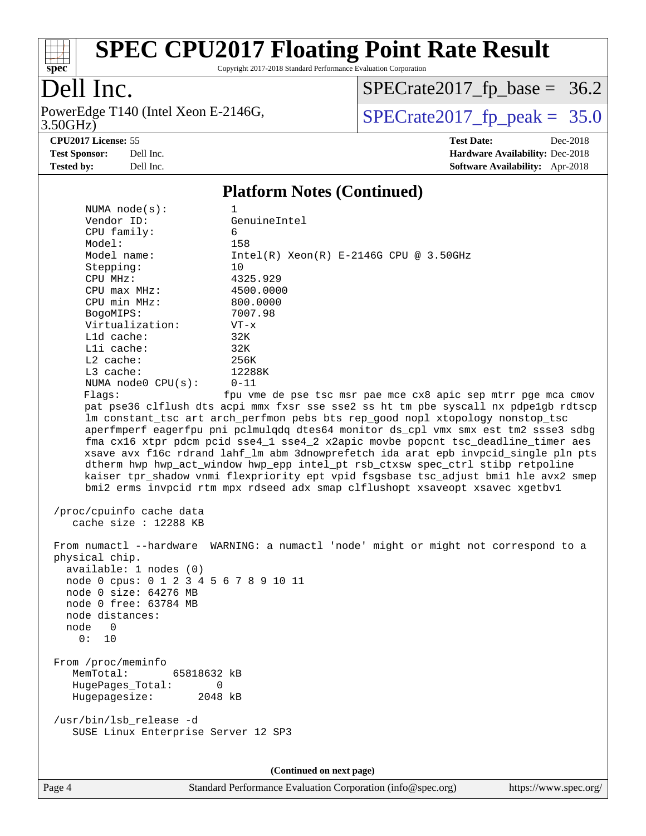

Copyright 2017-2018 Standard Performance Evaluation Corporation

## Dell Inc.

3.50GHz) PowerEdge T140 (Intel Xeon E-2146G,  $\vert$  [SPECrate2017\\_fp\\_peak =](http://www.spec.org/auto/cpu2017/Docs/result-fields.html#SPECrate2017fppeak) 35.0

 $SPECTate2017_fp\_base = 36.2$ 

**[CPU2017 License:](http://www.spec.org/auto/cpu2017/Docs/result-fields.html#CPU2017License)** 55 **[Test Date:](http://www.spec.org/auto/cpu2017/Docs/result-fields.html#TestDate)** Dec-2018

**[Test Sponsor:](http://www.spec.org/auto/cpu2017/Docs/result-fields.html#TestSponsor)** Dell Inc. **[Hardware Availability:](http://www.spec.org/auto/cpu2017/Docs/result-fields.html#HardwareAvailability)** Dec-2018

## **[Tested by:](http://www.spec.org/auto/cpu2017/Docs/result-fields.html#Testedby)** Dell Inc. **[Software Availability:](http://www.spec.org/auto/cpu2017/Docs/result-fields.html#SoftwareAvailability)** Apr-2018

#### **[Platform Notes \(Continued\)](http://www.spec.org/auto/cpu2017/Docs/result-fields.html#PlatformNotes)** NUMA node(s): 1 Vendor ID: GenuineIntel CPU family: 6 Model: 158 Model name:  $Intel(R)$  Xeon(R) E-2146G CPU @ 3.50GHz Stepping: 10 CPU MHz: 4325.929 CPU max MHz: 4500.0000 CPU min MHz: 800.0000 BogoMIPS: 7007.98 Virtualization: VT-x L1d cache: 32K L1i cache: 32K L2 cache: 256K L3 cache: 12288K NUMA node0 CPU(s): 0-11 Flags: fpu vme de pse tsc msr pae mce cx8 apic sep mtrr pge mca cmov

 pat pse36 clflush dts acpi mmx fxsr sse sse2 ss ht tm pbe syscall nx pdpe1gb rdtscp lm constant\_tsc art arch\_perfmon pebs bts rep\_good nopl xtopology nonstop\_tsc aperfmperf eagerfpu pni pclmulqdq dtes64 monitor ds\_cpl vmx smx est tm2 ssse3 sdbg fma cx16 xtpr pdcm pcid sse4\_1 sse4\_2 x2apic movbe popcnt tsc\_deadline\_timer aes xsave avx f16c rdrand lahf\_lm abm 3dnowprefetch ida arat epb invpcid\_single pln pts dtherm hwp hwp\_act\_window hwp\_epp intel\_pt rsb\_ctxsw spec\_ctrl stibp retpoline kaiser tpr\_shadow vnmi flexpriority ept vpid fsgsbase tsc\_adjust bmi1 hle avx2 smep bmi2 erms invpcid rtm mpx rdseed adx smap clflushopt xsaveopt xsavec xgetbv1

```
 /proc/cpuinfo cache data
cache size : 12288 KB
```
 From numactl --hardware WARNING: a numactl 'node' might or might not correspond to a physical chip. available: 1 nodes (0) node 0 cpus: 0 1 2 3 4 5 6 7 8 9 10 11 node 0 size: 64276 MB node 0 free: 63784 MB node distances: node 0  $0: 10$  From /proc/meminfo MemTotal: 65818632 kB HugePages\_Total: 0 Hugepagesize: 2048 kB /usr/bin/lsb\_release -d SUSE Linux Enterprise Server 12 SP3

**(Continued on next page)**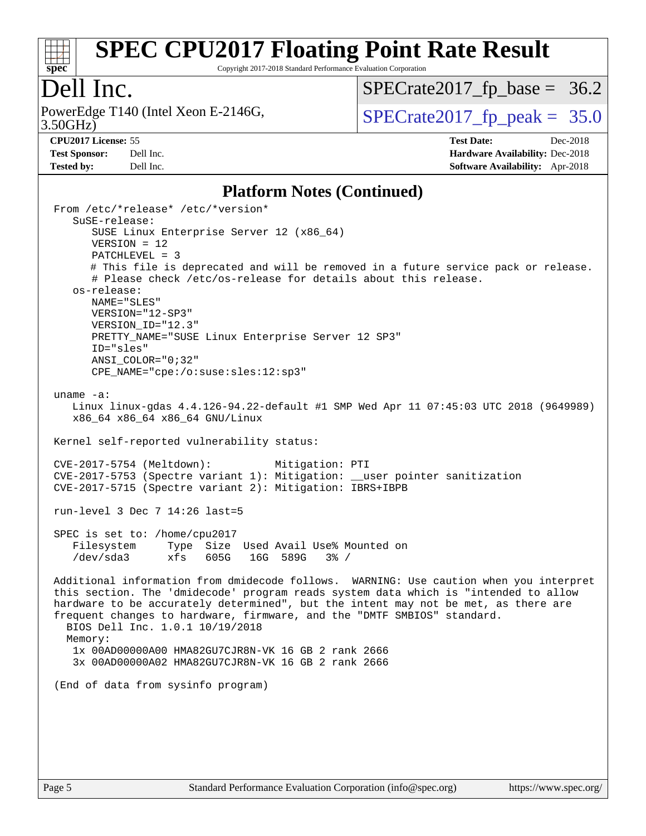

Copyright 2017-2018 Standard Performance Evaluation Corporation

## Dell Inc.

3.50GHz) PowerEdge T140 (Intel Xeon E-2146G,  $\vert$  [SPECrate2017\\_fp\\_peak =](http://www.spec.org/auto/cpu2017/Docs/result-fields.html#SPECrate2017fppeak) 35.0

 $SPECTate2017_fp\_base = 36.2$ 

**[Tested by:](http://www.spec.org/auto/cpu2017/Docs/result-fields.html#Testedby)** Dell Inc. **[Software Availability:](http://www.spec.org/auto/cpu2017/Docs/result-fields.html#SoftwareAvailability)** Apr-2018

**[CPU2017 License:](http://www.spec.org/auto/cpu2017/Docs/result-fields.html#CPU2017License)** 55 **[Test Date:](http://www.spec.org/auto/cpu2017/Docs/result-fields.html#TestDate)** Dec-2018 **[Test Sponsor:](http://www.spec.org/auto/cpu2017/Docs/result-fields.html#TestSponsor)** Dell Inc. **[Hardware Availability:](http://www.spec.org/auto/cpu2017/Docs/result-fields.html#HardwareAvailability)** Dec-2018

#### **[Platform Notes \(Continued\)](http://www.spec.org/auto/cpu2017/Docs/result-fields.html#PlatformNotes)**

 From /etc/\*release\* /etc/\*version\* SuSE-release: SUSE Linux Enterprise Server 12 (x86\_64) VERSION = 12 PATCHLEVEL = 3 # This file is deprecated and will be removed in a future service pack or release. # Please check /etc/os-release for details about this release. os-release: NAME="SLES" VERSION="12-SP3" VERSION\_ID="12.3" PRETTY NAME="SUSE Linux Enterprise Server 12 SP3" ID="sles" ANSI\_COLOR="0;32" CPE\_NAME="cpe:/o:suse:sles:12:sp3" uname -a: Linux linux-gdas 4.4.126-94.22-default #1 SMP Wed Apr 11 07:45:03 UTC 2018 (9649989) x86\_64 x86\_64 x86\_64 GNU/Linux Kernel self-reported vulnerability status: CVE-2017-5754 (Meltdown): Mitigation: PTI CVE-2017-5753 (Spectre variant 1): Mitigation: \_\_user pointer sanitization CVE-2017-5715 (Spectre variant 2): Mitigation: IBRS+IBPB run-level 3 Dec 7 14:26 last=5 SPEC is set to: /home/cpu2017 Filesystem Type Size Used Avail Use% Mounted on /dev/sda3 xfs 605G 16G 589G 3% / Additional information from dmidecode follows. WARNING: Use caution when you interpret this section. The 'dmidecode' program reads system data which is "intended to allow hardware to be accurately determined", but the intent may not be met, as there are frequent changes to hardware, firmware, and the "DMTF SMBIOS" standard. BIOS Dell Inc. 1.0.1 10/19/2018 Memory: 1x 00AD00000A00 HMA82GU7CJR8N-VK 16 GB 2 rank 2666 3x 00AD00000A02 HMA82GU7CJR8N-VK 16 GB 2 rank 2666 (End of data from sysinfo program)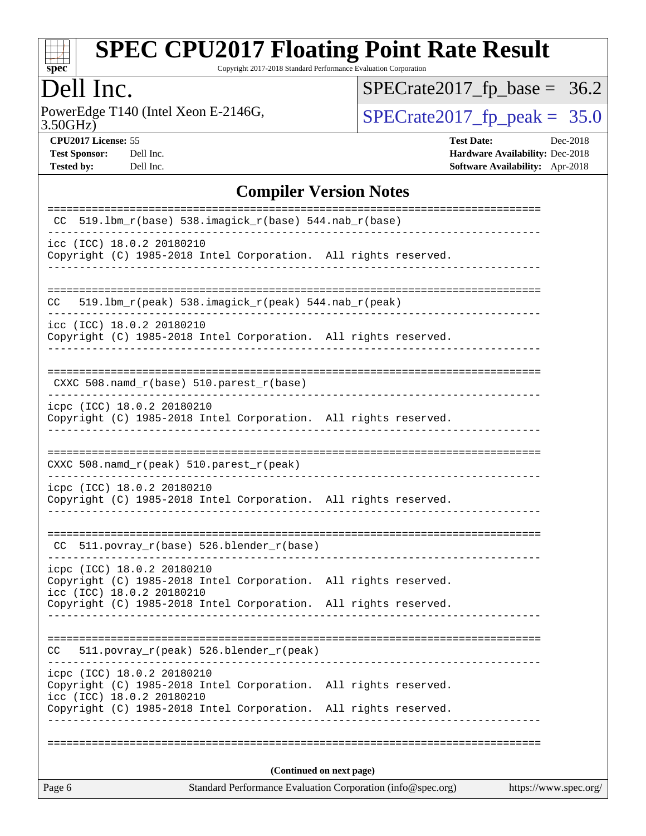

Copyright 2017-2018 Standard Performance Evaluation Corporation

## Dell Inc.

3.50GHz) PowerEdge T140 (Intel Xeon E-2146G,  $\text{SPECrate2017\_fp\_peak} = 35.0$ 

 $SPECrate2017_fp\_base = 36.2$ 

**[Test Sponsor:](http://www.spec.org/auto/cpu2017/Docs/result-fields.html#TestSponsor)** Dell Inc. **[Hardware Availability:](http://www.spec.org/auto/cpu2017/Docs/result-fields.html#HardwareAvailability)** Dec-2018 **[Tested by:](http://www.spec.org/auto/cpu2017/Docs/result-fields.html#Testedby)** Dell Inc. **[Software Availability:](http://www.spec.org/auto/cpu2017/Docs/result-fields.html#SoftwareAvailability)** Apr-2018

**[CPU2017 License:](http://www.spec.org/auto/cpu2017/Docs/result-fields.html#CPU2017License)** 55 **[Test Date:](http://www.spec.org/auto/cpu2017/Docs/result-fields.html#TestDate)** Dec-2018

**[Compiler Version Notes](http://www.spec.org/auto/cpu2017/Docs/result-fields.html#CompilerVersionNotes)**

| Page 6                                                                                                                                                                                        | Standard Performance Evaluation Corporation (info@spec.org) | https://www.spec.org/ |
|-----------------------------------------------------------------------------------------------------------------------------------------------------------------------------------------------|-------------------------------------------------------------|-----------------------|
|                                                                                                                                                                                               | (Continued on next page)                                    |                       |
|                                                                                                                                                                                               |                                                             |                       |
| icpc (ICC) 18.0.2 20180210<br>Copyright (C) 1985-2018 Intel Corporation. All rights reserved.<br>icc (ICC) 18.0.2 20180210<br>Copyright (C) 1985-2018 Intel Corporation. All rights reserved. |                                                             |                       |
| 511.povray_r(peak) 526.blender_r(peak)<br>CC                                                                                                                                                  |                                                             |                       |
| Copyright (C) 1985-2018 Intel Corporation. All rights reserved.                                                                                                                               |                                                             |                       |
| icpc (ICC) 18.0.2 20180210<br>Copyright (C) 1985-2018 Intel Corporation. All rights reserved.<br>icc (ICC) 18.0.2 20180210                                                                    |                                                             |                       |
| CC 511.povray_r(base) 526.blender_r(base)                                                                                                                                                     |                                                             |                       |
| icpc (ICC) 18.0.2 20180210<br>Copyright (C) 1985-2018 Intel Corporation. All rights reserved.                                                                                                 |                                                             |                       |
| CXXC 508.namd_r(peak) 510.parest_r(peak)                                                                                                                                                      |                                                             |                       |
| icpc (ICC) 18.0.2 20180210<br>Copyright (C) 1985-2018 Intel Corporation. All rights reserved.                                                                                                 |                                                             |                       |
| $CXXC 508.namd_r(base) 510.parest_r(base)$                                                                                                                                                    |                                                             |                       |
| icc (ICC) 18.0.2 20180210<br>Copyright (C) 1985-2018 Intel Corporation. All rights reserved.                                                                                                  |                                                             |                       |
| $519.1bm_r(peak) 538.imagick_r(peak) 544.nab_r(peak)$<br>CC.                                                                                                                                  | ================================                            |                       |
| icc (ICC) 18.0.2 20180210<br>Copyright (C) 1985-2018 Intel Corporation. All rights reserved.                                                                                                  |                                                             |                       |
| 519.1bm_r(base) 538.imagick_r(base) 544.nab_r(base)<br>CC.                                                                                                                                    |                                                             |                       |
|                                                                                                                                                                                               |                                                             |                       |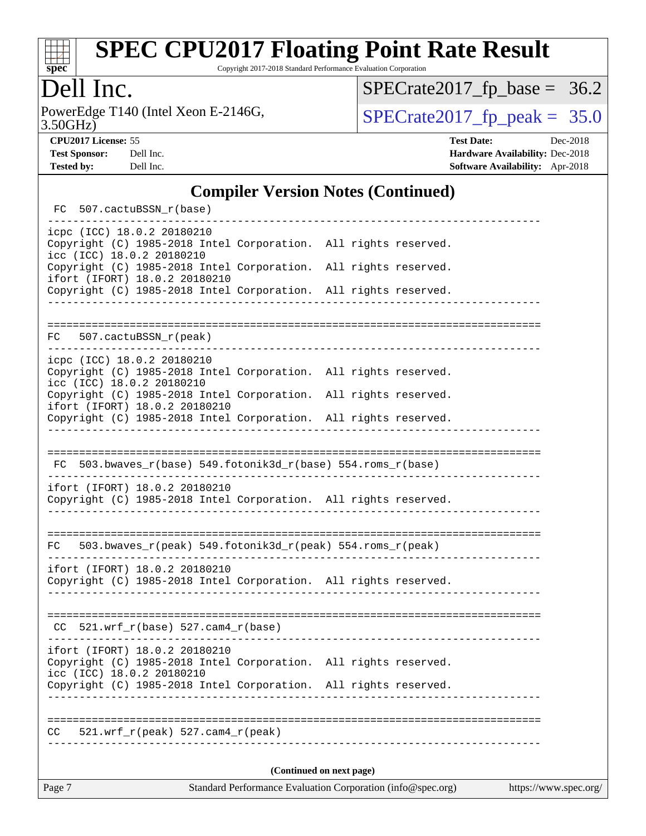

Copyright 2017-2018 Standard Performance Evaluation Corporation

## Dell Inc.

3.50GHz) PowerEdge T140 (Intel Xeon E-2146G,  $\text{SPECrate2017\_fp\_peak} = 35.0$ 

 $SPECrate2017_fp\_base = 36.2$ 

**[CPU2017 License:](http://www.spec.org/auto/cpu2017/Docs/result-fields.html#CPU2017License)** 55 **[Test Date:](http://www.spec.org/auto/cpu2017/Docs/result-fields.html#TestDate)** Dec-2018 **[Test Sponsor:](http://www.spec.org/auto/cpu2017/Docs/result-fields.html#TestSponsor)** Dell Inc. **[Hardware Availability:](http://www.spec.org/auto/cpu2017/Docs/result-fields.html#HardwareAvailability)** Dec-2018 **[Tested by:](http://www.spec.org/auto/cpu2017/Docs/result-fields.html#Testedby)** Dell Inc. **[Software Availability:](http://www.spec.org/auto/cpu2017/Docs/result-fields.html#SoftwareAvailability)** Apr-2018

#### **[Compiler Version Notes \(Continued\)](http://www.spec.org/auto/cpu2017/Docs/result-fields.html#CompilerVersionNotes)**

| FC 507.cactuBSSN_r(base)                                                                                                      |                                     |                       |  |  |  |  |
|-------------------------------------------------------------------------------------------------------------------------------|-------------------------------------|-----------------------|--|--|--|--|
| icpc (ICC) 18.0.2 20180210<br>Copyright (C) 1985-2018 Intel Corporation. All rights reserved.<br>icc (ICC) 18.0.2 20180210    |                                     |                       |  |  |  |  |
| Copyright (C) 1985-2018 Intel Corporation. All rights reserved.<br>ifort (IFORT) 18.0.2 20180210                              |                                     |                       |  |  |  |  |
| Copyright (C) 1985-2018 Intel Corporation. All rights reserved.                                                               |                                     |                       |  |  |  |  |
|                                                                                                                               |                                     |                       |  |  |  |  |
| $FC$ 507.cactuBSSN_ $r$ (peak)                                                                                                |                                     |                       |  |  |  |  |
| icpc (ICC) 18.0.2 20180210<br>Copyright (C) 1985-2018 Intel Corporation. All rights reserved.<br>icc (ICC) 18.0.2 20180210    |                                     |                       |  |  |  |  |
| Copyright (C) 1985-2018 Intel Corporation. All rights reserved.<br>ifort (IFORT) 18.0.2 20180210                              |                                     |                       |  |  |  |  |
| Copyright (C) 1985-2018 Intel Corporation. All rights reserved.                                                               |                                     |                       |  |  |  |  |
|                                                                                                                               |                                     |                       |  |  |  |  |
| $FC 503.bwaves_r(base) 549.fotonik3d_r(base) 554.roms_r(base)$                                                                |                                     |                       |  |  |  |  |
| ifort (IFORT) 18.0.2 20180210<br>Copyright (C) 1985-2018 Intel Corporation. All rights reserved.                              |                                     | ___________________   |  |  |  |  |
| 503.bwaves_r(peak) 549.fotonik3d_r(peak) 554.roms_r(peak)<br>FC                                                               |                                     |                       |  |  |  |  |
| ifort (IFORT) 18.0.2 20180210<br>Copyright (C) 1985-2018 Intel Corporation. All rights reserved.                              |                                     |                       |  |  |  |  |
| $CC$ 521.wrf_r(base) 527.cam4_r(base)                                                                                         |                                     |                       |  |  |  |  |
| ifort (IFORT) 18.0.2 20180210<br>Copyright (C) 1985-2018 Intel Corporation. All rights reserved.<br>icc (ICC) 18.0.2 20180210 |                                     |                       |  |  |  |  |
| Copyright (C) 1985-2018 Intel Corporation. All rights reserved.                                                               |                                     |                       |  |  |  |  |
|                                                                                                                               |                                     |                       |  |  |  |  |
| $521.wrf_r(peak) 527.cam4_r(peak)$<br>CC                                                                                      |                                     |                       |  |  |  |  |
| (Continued on next page)                                                                                                      |                                     |                       |  |  |  |  |
|                                                                                                                               | $-1$ Dev $\mathcal{L}_{\text{max}}$ | $m = int(m, G, G, G)$ |  |  |  |  |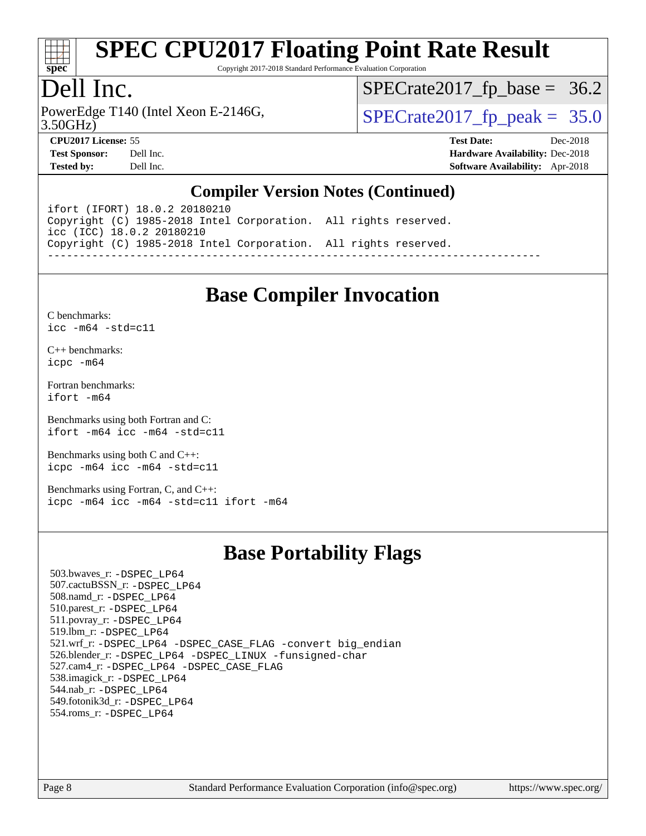

Copyright 2017-2018 Standard Performance Evaluation Corporation

## Dell Inc.

PowerEdge T140 (Intel Xeon E-2146G, 3.50GHz)

 $SPECTate 2017_fp\_peak = 35.0$  $SPECTate2017_fp\_base = 36.2$ 

**[Tested by:](http://www.spec.org/auto/cpu2017/Docs/result-fields.html#Testedby)** Dell Inc. **[Software Availability:](http://www.spec.org/auto/cpu2017/Docs/result-fields.html#SoftwareAvailability)** Apr-2018

**[CPU2017 License:](http://www.spec.org/auto/cpu2017/Docs/result-fields.html#CPU2017License)** 55 **[Test Date:](http://www.spec.org/auto/cpu2017/Docs/result-fields.html#TestDate)** Dec-2018 **[Test Sponsor:](http://www.spec.org/auto/cpu2017/Docs/result-fields.html#TestSponsor)** Dell Inc. **[Hardware Availability:](http://www.spec.org/auto/cpu2017/Docs/result-fields.html#HardwareAvailability)** Dec-2018

#### **[Compiler Version Notes \(Continued\)](http://www.spec.org/auto/cpu2017/Docs/result-fields.html#CompilerVersionNotes)**

ifort (IFORT) 18.0.2 20180210 Copyright (C) 1985-2018 Intel Corporation. All rights reserved. icc (ICC) 18.0.2 20180210 Copyright (C) 1985-2018 Intel Corporation. All rights reserved. ------------------------------------------------------------------------------

## **[Base Compiler Invocation](http://www.spec.org/auto/cpu2017/Docs/result-fields.html#BaseCompilerInvocation)**

[C benchmarks](http://www.spec.org/auto/cpu2017/Docs/result-fields.html#Cbenchmarks): [icc -m64 -std=c11](http://www.spec.org/cpu2017/results/res2018q4/cpu2017-20181210-10217.flags.html#user_CCbase_intel_icc_64bit_c11_33ee0cdaae7deeeab2a9725423ba97205ce30f63b9926c2519791662299b76a0318f32ddfffdc46587804de3178b4f9328c46fa7c2b0cd779d7a61945c91cd35)

[C++ benchmarks:](http://www.spec.org/auto/cpu2017/Docs/result-fields.html#CXXbenchmarks) [icpc -m64](http://www.spec.org/cpu2017/results/res2018q4/cpu2017-20181210-10217.flags.html#user_CXXbase_intel_icpc_64bit_4ecb2543ae3f1412ef961e0650ca070fec7b7afdcd6ed48761b84423119d1bf6bdf5cad15b44d48e7256388bc77273b966e5eb805aefd121eb22e9299b2ec9d9)

[Fortran benchmarks](http://www.spec.org/auto/cpu2017/Docs/result-fields.html#Fortranbenchmarks): [ifort -m64](http://www.spec.org/cpu2017/results/res2018q4/cpu2017-20181210-10217.flags.html#user_FCbase_intel_ifort_64bit_24f2bb282fbaeffd6157abe4f878425411749daecae9a33200eee2bee2fe76f3b89351d69a8130dd5949958ce389cf37ff59a95e7a40d588e8d3a57e0c3fd751)

[Benchmarks using both Fortran and C](http://www.spec.org/auto/cpu2017/Docs/result-fields.html#BenchmarksusingbothFortranandC): [ifort -m64](http://www.spec.org/cpu2017/results/res2018q4/cpu2017-20181210-10217.flags.html#user_CC_FCbase_intel_ifort_64bit_24f2bb282fbaeffd6157abe4f878425411749daecae9a33200eee2bee2fe76f3b89351d69a8130dd5949958ce389cf37ff59a95e7a40d588e8d3a57e0c3fd751) [icc -m64 -std=c11](http://www.spec.org/cpu2017/results/res2018q4/cpu2017-20181210-10217.flags.html#user_CC_FCbase_intel_icc_64bit_c11_33ee0cdaae7deeeab2a9725423ba97205ce30f63b9926c2519791662299b76a0318f32ddfffdc46587804de3178b4f9328c46fa7c2b0cd779d7a61945c91cd35)

[Benchmarks using both C and C++](http://www.spec.org/auto/cpu2017/Docs/result-fields.html#BenchmarksusingbothCandCXX): [icpc -m64](http://www.spec.org/cpu2017/results/res2018q4/cpu2017-20181210-10217.flags.html#user_CC_CXXbase_intel_icpc_64bit_4ecb2543ae3f1412ef961e0650ca070fec7b7afdcd6ed48761b84423119d1bf6bdf5cad15b44d48e7256388bc77273b966e5eb805aefd121eb22e9299b2ec9d9) [icc -m64 -std=c11](http://www.spec.org/cpu2017/results/res2018q4/cpu2017-20181210-10217.flags.html#user_CC_CXXbase_intel_icc_64bit_c11_33ee0cdaae7deeeab2a9725423ba97205ce30f63b9926c2519791662299b76a0318f32ddfffdc46587804de3178b4f9328c46fa7c2b0cd779d7a61945c91cd35)

[Benchmarks using Fortran, C, and C++:](http://www.spec.org/auto/cpu2017/Docs/result-fields.html#BenchmarksusingFortranCandCXX) [icpc -m64](http://www.spec.org/cpu2017/results/res2018q4/cpu2017-20181210-10217.flags.html#user_CC_CXX_FCbase_intel_icpc_64bit_4ecb2543ae3f1412ef961e0650ca070fec7b7afdcd6ed48761b84423119d1bf6bdf5cad15b44d48e7256388bc77273b966e5eb805aefd121eb22e9299b2ec9d9) [icc -m64 -std=c11](http://www.spec.org/cpu2017/results/res2018q4/cpu2017-20181210-10217.flags.html#user_CC_CXX_FCbase_intel_icc_64bit_c11_33ee0cdaae7deeeab2a9725423ba97205ce30f63b9926c2519791662299b76a0318f32ddfffdc46587804de3178b4f9328c46fa7c2b0cd779d7a61945c91cd35) [ifort -m64](http://www.spec.org/cpu2017/results/res2018q4/cpu2017-20181210-10217.flags.html#user_CC_CXX_FCbase_intel_ifort_64bit_24f2bb282fbaeffd6157abe4f878425411749daecae9a33200eee2bee2fe76f3b89351d69a8130dd5949958ce389cf37ff59a95e7a40d588e8d3a57e0c3fd751)

## **[Base Portability Flags](http://www.spec.org/auto/cpu2017/Docs/result-fields.html#BasePortabilityFlags)**

 503.bwaves\_r: [-DSPEC\\_LP64](http://www.spec.org/cpu2017/results/res2018q4/cpu2017-20181210-10217.flags.html#suite_basePORTABILITY503_bwaves_r_DSPEC_LP64) 507.cactuBSSN\_r: [-DSPEC\\_LP64](http://www.spec.org/cpu2017/results/res2018q4/cpu2017-20181210-10217.flags.html#suite_basePORTABILITY507_cactuBSSN_r_DSPEC_LP64) 508.namd\_r: [-DSPEC\\_LP64](http://www.spec.org/cpu2017/results/res2018q4/cpu2017-20181210-10217.flags.html#suite_basePORTABILITY508_namd_r_DSPEC_LP64) 510.parest\_r: [-DSPEC\\_LP64](http://www.spec.org/cpu2017/results/res2018q4/cpu2017-20181210-10217.flags.html#suite_basePORTABILITY510_parest_r_DSPEC_LP64) 511.povray\_r: [-DSPEC\\_LP64](http://www.spec.org/cpu2017/results/res2018q4/cpu2017-20181210-10217.flags.html#suite_basePORTABILITY511_povray_r_DSPEC_LP64) 519.lbm\_r: [-DSPEC\\_LP64](http://www.spec.org/cpu2017/results/res2018q4/cpu2017-20181210-10217.flags.html#suite_basePORTABILITY519_lbm_r_DSPEC_LP64) 521.wrf\_r: [-DSPEC\\_LP64](http://www.spec.org/cpu2017/results/res2018q4/cpu2017-20181210-10217.flags.html#suite_basePORTABILITY521_wrf_r_DSPEC_LP64) [-DSPEC\\_CASE\\_FLAG](http://www.spec.org/cpu2017/results/res2018q4/cpu2017-20181210-10217.flags.html#b521.wrf_r_baseCPORTABILITY_DSPEC_CASE_FLAG) [-convert big\\_endian](http://www.spec.org/cpu2017/results/res2018q4/cpu2017-20181210-10217.flags.html#user_baseFPORTABILITY521_wrf_r_convert_big_endian_c3194028bc08c63ac5d04de18c48ce6d347e4e562e8892b8bdbdc0214820426deb8554edfa529a3fb25a586e65a3d812c835984020483e7e73212c4d31a38223) 526.blender\_r: [-DSPEC\\_LP64](http://www.spec.org/cpu2017/results/res2018q4/cpu2017-20181210-10217.flags.html#suite_basePORTABILITY526_blender_r_DSPEC_LP64) [-DSPEC\\_LINUX](http://www.spec.org/cpu2017/results/res2018q4/cpu2017-20181210-10217.flags.html#b526.blender_r_baseCPORTABILITY_DSPEC_LINUX) [-funsigned-char](http://www.spec.org/cpu2017/results/res2018q4/cpu2017-20181210-10217.flags.html#user_baseCPORTABILITY526_blender_r_force_uchar_40c60f00ab013830e2dd6774aeded3ff59883ba5a1fc5fc14077f794d777847726e2a5858cbc7672e36e1b067e7e5c1d9a74f7176df07886a243d7cc18edfe67) 527.cam4\_r: [-DSPEC\\_LP64](http://www.spec.org/cpu2017/results/res2018q4/cpu2017-20181210-10217.flags.html#suite_basePORTABILITY527_cam4_r_DSPEC_LP64) [-DSPEC\\_CASE\\_FLAG](http://www.spec.org/cpu2017/results/res2018q4/cpu2017-20181210-10217.flags.html#b527.cam4_r_baseCPORTABILITY_DSPEC_CASE_FLAG) 538.imagick\_r: [-DSPEC\\_LP64](http://www.spec.org/cpu2017/results/res2018q4/cpu2017-20181210-10217.flags.html#suite_basePORTABILITY538_imagick_r_DSPEC_LP64) 544.nab\_r: [-DSPEC\\_LP64](http://www.spec.org/cpu2017/results/res2018q4/cpu2017-20181210-10217.flags.html#suite_basePORTABILITY544_nab_r_DSPEC_LP64) 549.fotonik3d\_r: [-DSPEC\\_LP64](http://www.spec.org/cpu2017/results/res2018q4/cpu2017-20181210-10217.flags.html#suite_basePORTABILITY549_fotonik3d_r_DSPEC_LP64) 554.roms\_r: [-DSPEC\\_LP64](http://www.spec.org/cpu2017/results/res2018q4/cpu2017-20181210-10217.flags.html#suite_basePORTABILITY554_roms_r_DSPEC_LP64)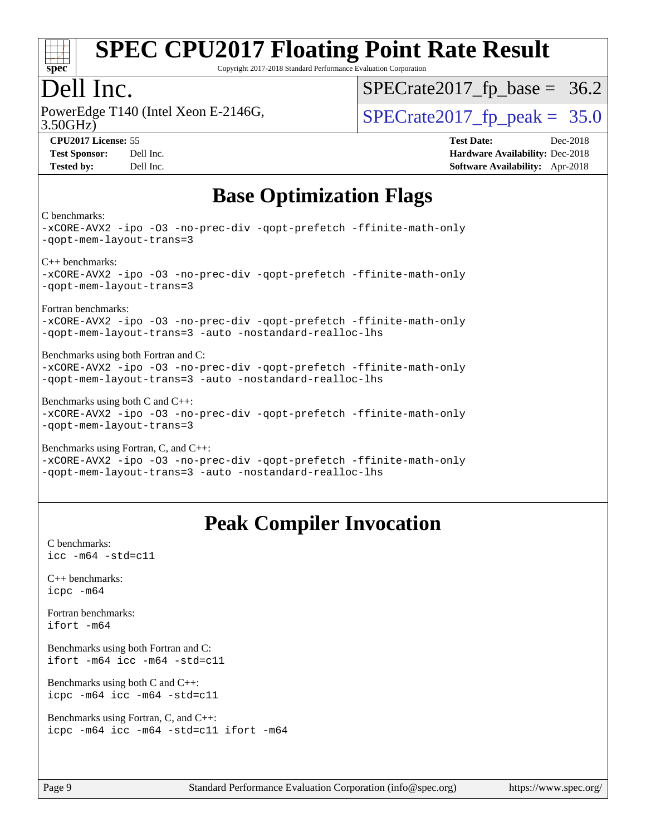

Copyright 2017-2018 Standard Performance Evaluation Corporation

## Dell Inc.

PowerEdge T140 (Intel Xeon E-2146G, 3.50GHz)

 $SPECTate 2017_fp\_peak = 35.0$  $SPECTate2017_fp\_base = 36.2$ 

**[CPU2017 License:](http://www.spec.org/auto/cpu2017/Docs/result-fields.html#CPU2017License)** 55 **[Test Date:](http://www.spec.org/auto/cpu2017/Docs/result-fields.html#TestDate)** Dec-2018 **[Test Sponsor:](http://www.spec.org/auto/cpu2017/Docs/result-fields.html#TestSponsor)** Dell Inc. **[Hardware Availability:](http://www.spec.org/auto/cpu2017/Docs/result-fields.html#HardwareAvailability)** Dec-2018 **[Tested by:](http://www.spec.org/auto/cpu2017/Docs/result-fields.html#Testedby)** Dell Inc. **[Software Availability:](http://www.spec.org/auto/cpu2017/Docs/result-fields.html#SoftwareAvailability)** Apr-2018

## **[Base Optimization Flags](http://www.spec.org/auto/cpu2017/Docs/result-fields.html#BaseOptimizationFlags)**

[C benchmarks:](http://www.spec.org/auto/cpu2017/Docs/result-fields.html#Cbenchmarks)

[-xCORE-AVX2](http://www.spec.org/cpu2017/results/res2018q4/cpu2017-20181210-10217.flags.html#user_CCbase_f-xCORE-AVX2) [-ipo](http://www.spec.org/cpu2017/results/res2018q4/cpu2017-20181210-10217.flags.html#user_CCbase_f-ipo) [-O3](http://www.spec.org/cpu2017/results/res2018q4/cpu2017-20181210-10217.flags.html#user_CCbase_f-O3) [-no-prec-div](http://www.spec.org/cpu2017/results/res2018q4/cpu2017-20181210-10217.flags.html#user_CCbase_f-no-prec-div) [-qopt-prefetch](http://www.spec.org/cpu2017/results/res2018q4/cpu2017-20181210-10217.flags.html#user_CCbase_f-qopt-prefetch) [-ffinite-math-only](http://www.spec.org/cpu2017/results/res2018q4/cpu2017-20181210-10217.flags.html#user_CCbase_f_finite_math_only_cb91587bd2077682c4b38af759c288ed7c732db004271a9512da14a4f8007909a5f1427ecbf1a0fb78ff2a814402c6114ac565ca162485bbcae155b5e4258871) [-qopt-mem-layout-trans=3](http://www.spec.org/cpu2017/results/res2018q4/cpu2017-20181210-10217.flags.html#user_CCbase_f-qopt-mem-layout-trans_de80db37974c74b1f0e20d883f0b675c88c3b01e9d123adea9b28688d64333345fb62bc4a798493513fdb68f60282f9a726aa07f478b2f7113531aecce732043) [C++ benchmarks](http://www.spec.org/auto/cpu2017/Docs/result-fields.html#CXXbenchmarks): [-xCORE-AVX2](http://www.spec.org/cpu2017/results/res2018q4/cpu2017-20181210-10217.flags.html#user_CXXbase_f-xCORE-AVX2) [-ipo](http://www.spec.org/cpu2017/results/res2018q4/cpu2017-20181210-10217.flags.html#user_CXXbase_f-ipo) [-O3](http://www.spec.org/cpu2017/results/res2018q4/cpu2017-20181210-10217.flags.html#user_CXXbase_f-O3) [-no-prec-div](http://www.spec.org/cpu2017/results/res2018q4/cpu2017-20181210-10217.flags.html#user_CXXbase_f-no-prec-div) [-qopt-prefetch](http://www.spec.org/cpu2017/results/res2018q4/cpu2017-20181210-10217.flags.html#user_CXXbase_f-qopt-prefetch) [-ffinite-math-only](http://www.spec.org/cpu2017/results/res2018q4/cpu2017-20181210-10217.flags.html#user_CXXbase_f_finite_math_only_cb91587bd2077682c4b38af759c288ed7c732db004271a9512da14a4f8007909a5f1427ecbf1a0fb78ff2a814402c6114ac565ca162485bbcae155b5e4258871) [-qopt-mem-layout-trans=3](http://www.spec.org/cpu2017/results/res2018q4/cpu2017-20181210-10217.flags.html#user_CXXbase_f-qopt-mem-layout-trans_de80db37974c74b1f0e20d883f0b675c88c3b01e9d123adea9b28688d64333345fb62bc4a798493513fdb68f60282f9a726aa07f478b2f7113531aecce732043) [Fortran benchmarks:](http://www.spec.org/auto/cpu2017/Docs/result-fields.html#Fortranbenchmarks) [-xCORE-AVX2](http://www.spec.org/cpu2017/results/res2018q4/cpu2017-20181210-10217.flags.html#user_FCbase_f-xCORE-AVX2) [-ipo](http://www.spec.org/cpu2017/results/res2018q4/cpu2017-20181210-10217.flags.html#user_FCbase_f-ipo) [-O3](http://www.spec.org/cpu2017/results/res2018q4/cpu2017-20181210-10217.flags.html#user_FCbase_f-O3) [-no-prec-div](http://www.spec.org/cpu2017/results/res2018q4/cpu2017-20181210-10217.flags.html#user_FCbase_f-no-prec-div) [-qopt-prefetch](http://www.spec.org/cpu2017/results/res2018q4/cpu2017-20181210-10217.flags.html#user_FCbase_f-qopt-prefetch) [-ffinite-math-only](http://www.spec.org/cpu2017/results/res2018q4/cpu2017-20181210-10217.flags.html#user_FCbase_f_finite_math_only_cb91587bd2077682c4b38af759c288ed7c732db004271a9512da14a4f8007909a5f1427ecbf1a0fb78ff2a814402c6114ac565ca162485bbcae155b5e4258871) [-qopt-mem-layout-trans=3](http://www.spec.org/cpu2017/results/res2018q4/cpu2017-20181210-10217.flags.html#user_FCbase_f-qopt-mem-layout-trans_de80db37974c74b1f0e20d883f0b675c88c3b01e9d123adea9b28688d64333345fb62bc4a798493513fdb68f60282f9a726aa07f478b2f7113531aecce732043) [-auto](http://www.spec.org/cpu2017/results/res2018q4/cpu2017-20181210-10217.flags.html#user_FCbase_f-auto) [-nostandard-realloc-lhs](http://www.spec.org/cpu2017/results/res2018q4/cpu2017-20181210-10217.flags.html#user_FCbase_f_2003_std_realloc_82b4557e90729c0f113870c07e44d33d6f5a304b4f63d4c15d2d0f1fab99f5daaed73bdb9275d9ae411527f28b936061aa8b9c8f2d63842963b95c9dd6426b8a) [Benchmarks using both Fortran and C:](http://www.spec.org/auto/cpu2017/Docs/result-fields.html#BenchmarksusingbothFortranandC) [-xCORE-AVX2](http://www.spec.org/cpu2017/results/res2018q4/cpu2017-20181210-10217.flags.html#user_CC_FCbase_f-xCORE-AVX2) [-ipo](http://www.spec.org/cpu2017/results/res2018q4/cpu2017-20181210-10217.flags.html#user_CC_FCbase_f-ipo) [-O3](http://www.spec.org/cpu2017/results/res2018q4/cpu2017-20181210-10217.flags.html#user_CC_FCbase_f-O3) [-no-prec-div](http://www.spec.org/cpu2017/results/res2018q4/cpu2017-20181210-10217.flags.html#user_CC_FCbase_f-no-prec-div) [-qopt-prefetch](http://www.spec.org/cpu2017/results/res2018q4/cpu2017-20181210-10217.flags.html#user_CC_FCbase_f-qopt-prefetch) [-ffinite-math-only](http://www.spec.org/cpu2017/results/res2018q4/cpu2017-20181210-10217.flags.html#user_CC_FCbase_f_finite_math_only_cb91587bd2077682c4b38af759c288ed7c732db004271a9512da14a4f8007909a5f1427ecbf1a0fb78ff2a814402c6114ac565ca162485bbcae155b5e4258871) [-qopt-mem-layout-trans=3](http://www.spec.org/cpu2017/results/res2018q4/cpu2017-20181210-10217.flags.html#user_CC_FCbase_f-qopt-mem-layout-trans_de80db37974c74b1f0e20d883f0b675c88c3b01e9d123adea9b28688d64333345fb62bc4a798493513fdb68f60282f9a726aa07f478b2f7113531aecce732043) [-auto](http://www.spec.org/cpu2017/results/res2018q4/cpu2017-20181210-10217.flags.html#user_CC_FCbase_f-auto) [-nostandard-realloc-lhs](http://www.spec.org/cpu2017/results/res2018q4/cpu2017-20181210-10217.flags.html#user_CC_FCbase_f_2003_std_realloc_82b4557e90729c0f113870c07e44d33d6f5a304b4f63d4c15d2d0f1fab99f5daaed73bdb9275d9ae411527f28b936061aa8b9c8f2d63842963b95c9dd6426b8a) [Benchmarks using both C and C++](http://www.spec.org/auto/cpu2017/Docs/result-fields.html#BenchmarksusingbothCandCXX): [-xCORE-AVX2](http://www.spec.org/cpu2017/results/res2018q4/cpu2017-20181210-10217.flags.html#user_CC_CXXbase_f-xCORE-AVX2) [-ipo](http://www.spec.org/cpu2017/results/res2018q4/cpu2017-20181210-10217.flags.html#user_CC_CXXbase_f-ipo) [-O3](http://www.spec.org/cpu2017/results/res2018q4/cpu2017-20181210-10217.flags.html#user_CC_CXXbase_f-O3) [-no-prec-div](http://www.spec.org/cpu2017/results/res2018q4/cpu2017-20181210-10217.flags.html#user_CC_CXXbase_f-no-prec-div) [-qopt-prefetch](http://www.spec.org/cpu2017/results/res2018q4/cpu2017-20181210-10217.flags.html#user_CC_CXXbase_f-qopt-prefetch) [-ffinite-math-only](http://www.spec.org/cpu2017/results/res2018q4/cpu2017-20181210-10217.flags.html#user_CC_CXXbase_f_finite_math_only_cb91587bd2077682c4b38af759c288ed7c732db004271a9512da14a4f8007909a5f1427ecbf1a0fb78ff2a814402c6114ac565ca162485bbcae155b5e4258871) [-qopt-mem-layout-trans=3](http://www.spec.org/cpu2017/results/res2018q4/cpu2017-20181210-10217.flags.html#user_CC_CXXbase_f-qopt-mem-layout-trans_de80db37974c74b1f0e20d883f0b675c88c3b01e9d123adea9b28688d64333345fb62bc4a798493513fdb68f60282f9a726aa07f478b2f7113531aecce732043) [Benchmarks using Fortran, C, and C++](http://www.spec.org/auto/cpu2017/Docs/result-fields.html#BenchmarksusingFortranCandCXX): [-xCORE-AVX2](http://www.spec.org/cpu2017/results/res2018q4/cpu2017-20181210-10217.flags.html#user_CC_CXX_FCbase_f-xCORE-AVX2) [-ipo](http://www.spec.org/cpu2017/results/res2018q4/cpu2017-20181210-10217.flags.html#user_CC_CXX_FCbase_f-ipo) [-O3](http://www.spec.org/cpu2017/results/res2018q4/cpu2017-20181210-10217.flags.html#user_CC_CXX_FCbase_f-O3) [-no-prec-div](http://www.spec.org/cpu2017/results/res2018q4/cpu2017-20181210-10217.flags.html#user_CC_CXX_FCbase_f-no-prec-div) [-qopt-prefetch](http://www.spec.org/cpu2017/results/res2018q4/cpu2017-20181210-10217.flags.html#user_CC_CXX_FCbase_f-qopt-prefetch) [-ffinite-math-only](http://www.spec.org/cpu2017/results/res2018q4/cpu2017-20181210-10217.flags.html#user_CC_CXX_FCbase_f_finite_math_only_cb91587bd2077682c4b38af759c288ed7c732db004271a9512da14a4f8007909a5f1427ecbf1a0fb78ff2a814402c6114ac565ca162485bbcae155b5e4258871)

[-qopt-mem-layout-trans=3](http://www.spec.org/cpu2017/results/res2018q4/cpu2017-20181210-10217.flags.html#user_CC_CXX_FCbase_f-qopt-mem-layout-trans_de80db37974c74b1f0e20d883f0b675c88c3b01e9d123adea9b28688d64333345fb62bc4a798493513fdb68f60282f9a726aa07f478b2f7113531aecce732043) [-auto](http://www.spec.org/cpu2017/results/res2018q4/cpu2017-20181210-10217.flags.html#user_CC_CXX_FCbase_f-auto) [-nostandard-realloc-lhs](http://www.spec.org/cpu2017/results/res2018q4/cpu2017-20181210-10217.flags.html#user_CC_CXX_FCbase_f_2003_std_realloc_82b4557e90729c0f113870c07e44d33d6f5a304b4f63d4c15d2d0f1fab99f5daaed73bdb9275d9ae411527f28b936061aa8b9c8f2d63842963b95c9dd6426b8a)

## **[Peak Compiler Invocation](http://www.spec.org/auto/cpu2017/Docs/result-fields.html#PeakCompilerInvocation)**

[C benchmarks](http://www.spec.org/auto/cpu2017/Docs/result-fields.html#Cbenchmarks): [icc -m64 -std=c11](http://www.spec.org/cpu2017/results/res2018q4/cpu2017-20181210-10217.flags.html#user_CCpeak_intel_icc_64bit_c11_33ee0cdaae7deeeab2a9725423ba97205ce30f63b9926c2519791662299b76a0318f32ddfffdc46587804de3178b4f9328c46fa7c2b0cd779d7a61945c91cd35)

[C++ benchmarks:](http://www.spec.org/auto/cpu2017/Docs/result-fields.html#CXXbenchmarks) [icpc -m64](http://www.spec.org/cpu2017/results/res2018q4/cpu2017-20181210-10217.flags.html#user_CXXpeak_intel_icpc_64bit_4ecb2543ae3f1412ef961e0650ca070fec7b7afdcd6ed48761b84423119d1bf6bdf5cad15b44d48e7256388bc77273b966e5eb805aefd121eb22e9299b2ec9d9)

[Fortran benchmarks](http://www.spec.org/auto/cpu2017/Docs/result-fields.html#Fortranbenchmarks): [ifort -m64](http://www.spec.org/cpu2017/results/res2018q4/cpu2017-20181210-10217.flags.html#user_FCpeak_intel_ifort_64bit_24f2bb282fbaeffd6157abe4f878425411749daecae9a33200eee2bee2fe76f3b89351d69a8130dd5949958ce389cf37ff59a95e7a40d588e8d3a57e0c3fd751)

[Benchmarks using both Fortran and C](http://www.spec.org/auto/cpu2017/Docs/result-fields.html#BenchmarksusingbothFortranandC): [ifort -m64](http://www.spec.org/cpu2017/results/res2018q4/cpu2017-20181210-10217.flags.html#user_CC_FCpeak_intel_ifort_64bit_24f2bb282fbaeffd6157abe4f878425411749daecae9a33200eee2bee2fe76f3b89351d69a8130dd5949958ce389cf37ff59a95e7a40d588e8d3a57e0c3fd751) [icc -m64 -std=c11](http://www.spec.org/cpu2017/results/res2018q4/cpu2017-20181210-10217.flags.html#user_CC_FCpeak_intel_icc_64bit_c11_33ee0cdaae7deeeab2a9725423ba97205ce30f63b9926c2519791662299b76a0318f32ddfffdc46587804de3178b4f9328c46fa7c2b0cd779d7a61945c91cd35)

[Benchmarks using both C and C++](http://www.spec.org/auto/cpu2017/Docs/result-fields.html#BenchmarksusingbothCandCXX): [icpc -m64](http://www.spec.org/cpu2017/results/res2018q4/cpu2017-20181210-10217.flags.html#user_CC_CXXpeak_intel_icpc_64bit_4ecb2543ae3f1412ef961e0650ca070fec7b7afdcd6ed48761b84423119d1bf6bdf5cad15b44d48e7256388bc77273b966e5eb805aefd121eb22e9299b2ec9d9) [icc -m64 -std=c11](http://www.spec.org/cpu2017/results/res2018q4/cpu2017-20181210-10217.flags.html#user_CC_CXXpeak_intel_icc_64bit_c11_33ee0cdaae7deeeab2a9725423ba97205ce30f63b9926c2519791662299b76a0318f32ddfffdc46587804de3178b4f9328c46fa7c2b0cd779d7a61945c91cd35)

[Benchmarks using Fortran, C, and C++:](http://www.spec.org/auto/cpu2017/Docs/result-fields.html#BenchmarksusingFortranCandCXX) [icpc -m64](http://www.spec.org/cpu2017/results/res2018q4/cpu2017-20181210-10217.flags.html#user_CC_CXX_FCpeak_intel_icpc_64bit_4ecb2543ae3f1412ef961e0650ca070fec7b7afdcd6ed48761b84423119d1bf6bdf5cad15b44d48e7256388bc77273b966e5eb805aefd121eb22e9299b2ec9d9) [icc -m64 -std=c11](http://www.spec.org/cpu2017/results/res2018q4/cpu2017-20181210-10217.flags.html#user_CC_CXX_FCpeak_intel_icc_64bit_c11_33ee0cdaae7deeeab2a9725423ba97205ce30f63b9926c2519791662299b76a0318f32ddfffdc46587804de3178b4f9328c46fa7c2b0cd779d7a61945c91cd35) [ifort -m64](http://www.spec.org/cpu2017/results/res2018q4/cpu2017-20181210-10217.flags.html#user_CC_CXX_FCpeak_intel_ifort_64bit_24f2bb282fbaeffd6157abe4f878425411749daecae9a33200eee2bee2fe76f3b89351d69a8130dd5949958ce389cf37ff59a95e7a40d588e8d3a57e0c3fd751)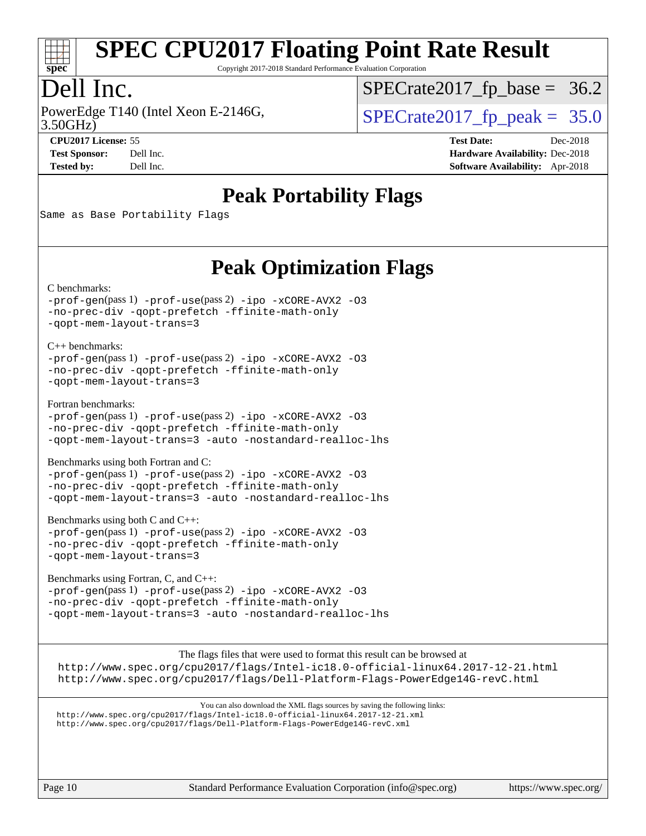

Copyright 2017-2018 Standard Performance Evaluation Corporation

## Dell Inc.

PowerEdge T140 (Intel Xeon E-2146G, 3.50GHz)

 $SPECTate 2017_fp\_peak = 35.0$  $SPECTate2017_fp\_base = 36.2$ 

**[Tested by:](http://www.spec.org/auto/cpu2017/Docs/result-fields.html#Testedby)** Dell Inc. **[Software Availability:](http://www.spec.org/auto/cpu2017/Docs/result-fields.html#SoftwareAvailability)** Apr-2018

**[CPU2017 License:](http://www.spec.org/auto/cpu2017/Docs/result-fields.html#CPU2017License)** 55 **[Test Date:](http://www.spec.org/auto/cpu2017/Docs/result-fields.html#TestDate)** Dec-2018 **[Test Sponsor:](http://www.spec.org/auto/cpu2017/Docs/result-fields.html#TestSponsor)** Dell Inc. **[Hardware Availability:](http://www.spec.org/auto/cpu2017/Docs/result-fields.html#HardwareAvailability)** Dec-2018

**[Peak Portability Flags](http://www.spec.org/auto/cpu2017/Docs/result-fields.html#PeakPortabilityFlags)**

Same as Base Portability Flags

## **[Peak Optimization Flags](http://www.spec.org/auto/cpu2017/Docs/result-fields.html#PeakOptimizationFlags)**

[C benchmarks](http://www.spec.org/auto/cpu2017/Docs/result-fields.html#Cbenchmarks):

[-prof-gen](http://www.spec.org/cpu2017/results/res2018q4/cpu2017-20181210-10217.flags.html#user_CCpeak_prof_gen_5aa4926d6013ddb2a31985c654b3eb18169fc0c6952a63635c234f711e6e63dd76e94ad52365559451ec499a2cdb89e4dc58ba4c67ef54ca681ffbe1461d6b36)(pass 1) [-prof-use](http://www.spec.org/cpu2017/results/res2018q4/cpu2017-20181210-10217.flags.html#user_CCpeak_prof_use_1a21ceae95f36a2b53c25747139a6c16ca95bd9def2a207b4f0849963b97e94f5260e30a0c64f4bb623698870e679ca08317ef8150905d41bd88c6f78df73f19)(pass 2) [-ipo](http://www.spec.org/cpu2017/results/res2018q4/cpu2017-20181210-10217.flags.html#user_CCpeak_f-ipo) [-xCORE-AVX2](http://www.spec.org/cpu2017/results/res2018q4/cpu2017-20181210-10217.flags.html#user_CCpeak_f-xCORE-AVX2) [-O3](http://www.spec.org/cpu2017/results/res2018q4/cpu2017-20181210-10217.flags.html#user_CCpeak_f-O3) [-no-prec-div](http://www.spec.org/cpu2017/results/res2018q4/cpu2017-20181210-10217.flags.html#user_CCpeak_f-no-prec-div) [-qopt-prefetch](http://www.spec.org/cpu2017/results/res2018q4/cpu2017-20181210-10217.flags.html#user_CCpeak_f-qopt-prefetch) [-ffinite-math-only](http://www.spec.org/cpu2017/results/res2018q4/cpu2017-20181210-10217.flags.html#user_CCpeak_f_finite_math_only_cb91587bd2077682c4b38af759c288ed7c732db004271a9512da14a4f8007909a5f1427ecbf1a0fb78ff2a814402c6114ac565ca162485bbcae155b5e4258871) [-qopt-mem-layout-trans=3](http://www.spec.org/cpu2017/results/res2018q4/cpu2017-20181210-10217.flags.html#user_CCpeak_f-qopt-mem-layout-trans_de80db37974c74b1f0e20d883f0b675c88c3b01e9d123adea9b28688d64333345fb62bc4a798493513fdb68f60282f9a726aa07f478b2f7113531aecce732043)

[C++ benchmarks:](http://www.spec.org/auto/cpu2017/Docs/result-fields.html#CXXbenchmarks) [-prof-gen](http://www.spec.org/cpu2017/results/res2018q4/cpu2017-20181210-10217.flags.html#user_CXXpeak_prof_gen_5aa4926d6013ddb2a31985c654b3eb18169fc0c6952a63635c234f711e6e63dd76e94ad52365559451ec499a2cdb89e4dc58ba4c67ef54ca681ffbe1461d6b36)(pass 1) [-prof-use](http://www.spec.org/cpu2017/results/res2018q4/cpu2017-20181210-10217.flags.html#user_CXXpeak_prof_use_1a21ceae95f36a2b53c25747139a6c16ca95bd9def2a207b4f0849963b97e94f5260e30a0c64f4bb623698870e679ca08317ef8150905d41bd88c6f78df73f19)(pass 2) [-ipo](http://www.spec.org/cpu2017/results/res2018q4/cpu2017-20181210-10217.flags.html#user_CXXpeak_f-ipo) [-xCORE-AVX2](http://www.spec.org/cpu2017/results/res2018q4/cpu2017-20181210-10217.flags.html#user_CXXpeak_f-xCORE-AVX2) [-O3](http://www.spec.org/cpu2017/results/res2018q4/cpu2017-20181210-10217.flags.html#user_CXXpeak_f-O3) [-no-prec-div](http://www.spec.org/cpu2017/results/res2018q4/cpu2017-20181210-10217.flags.html#user_CXXpeak_f-no-prec-div) [-qopt-prefetch](http://www.spec.org/cpu2017/results/res2018q4/cpu2017-20181210-10217.flags.html#user_CXXpeak_f-qopt-prefetch) [-ffinite-math-only](http://www.spec.org/cpu2017/results/res2018q4/cpu2017-20181210-10217.flags.html#user_CXXpeak_f_finite_math_only_cb91587bd2077682c4b38af759c288ed7c732db004271a9512da14a4f8007909a5f1427ecbf1a0fb78ff2a814402c6114ac565ca162485bbcae155b5e4258871) [-qopt-mem-layout-trans=3](http://www.spec.org/cpu2017/results/res2018q4/cpu2017-20181210-10217.flags.html#user_CXXpeak_f-qopt-mem-layout-trans_de80db37974c74b1f0e20d883f0b675c88c3b01e9d123adea9b28688d64333345fb62bc4a798493513fdb68f60282f9a726aa07f478b2f7113531aecce732043)

[Fortran benchmarks](http://www.spec.org/auto/cpu2017/Docs/result-fields.html#Fortranbenchmarks):

[-prof-gen](http://www.spec.org/cpu2017/results/res2018q4/cpu2017-20181210-10217.flags.html#user_FCpeak_prof_gen_5aa4926d6013ddb2a31985c654b3eb18169fc0c6952a63635c234f711e6e63dd76e94ad52365559451ec499a2cdb89e4dc58ba4c67ef54ca681ffbe1461d6b36)(pass 1) [-prof-use](http://www.spec.org/cpu2017/results/res2018q4/cpu2017-20181210-10217.flags.html#user_FCpeak_prof_use_1a21ceae95f36a2b53c25747139a6c16ca95bd9def2a207b4f0849963b97e94f5260e30a0c64f4bb623698870e679ca08317ef8150905d41bd88c6f78df73f19)(pass 2) [-ipo](http://www.spec.org/cpu2017/results/res2018q4/cpu2017-20181210-10217.flags.html#user_FCpeak_f-ipo) [-xCORE-AVX2](http://www.spec.org/cpu2017/results/res2018q4/cpu2017-20181210-10217.flags.html#user_FCpeak_f-xCORE-AVX2) [-O3](http://www.spec.org/cpu2017/results/res2018q4/cpu2017-20181210-10217.flags.html#user_FCpeak_f-O3) [-no-prec-div](http://www.spec.org/cpu2017/results/res2018q4/cpu2017-20181210-10217.flags.html#user_FCpeak_f-no-prec-div) [-qopt-prefetch](http://www.spec.org/cpu2017/results/res2018q4/cpu2017-20181210-10217.flags.html#user_FCpeak_f-qopt-prefetch) [-ffinite-math-only](http://www.spec.org/cpu2017/results/res2018q4/cpu2017-20181210-10217.flags.html#user_FCpeak_f_finite_math_only_cb91587bd2077682c4b38af759c288ed7c732db004271a9512da14a4f8007909a5f1427ecbf1a0fb78ff2a814402c6114ac565ca162485bbcae155b5e4258871) [-qopt-mem-layout-trans=3](http://www.spec.org/cpu2017/results/res2018q4/cpu2017-20181210-10217.flags.html#user_FCpeak_f-qopt-mem-layout-trans_de80db37974c74b1f0e20d883f0b675c88c3b01e9d123adea9b28688d64333345fb62bc4a798493513fdb68f60282f9a726aa07f478b2f7113531aecce732043) [-auto](http://www.spec.org/cpu2017/results/res2018q4/cpu2017-20181210-10217.flags.html#user_FCpeak_f-auto) [-nostandard-realloc-lhs](http://www.spec.org/cpu2017/results/res2018q4/cpu2017-20181210-10217.flags.html#user_FCpeak_f_2003_std_realloc_82b4557e90729c0f113870c07e44d33d6f5a304b4f63d4c15d2d0f1fab99f5daaed73bdb9275d9ae411527f28b936061aa8b9c8f2d63842963b95c9dd6426b8a)

[Benchmarks using both Fortran and C](http://www.spec.org/auto/cpu2017/Docs/result-fields.html#BenchmarksusingbothFortranandC):

[-prof-gen](http://www.spec.org/cpu2017/results/res2018q4/cpu2017-20181210-10217.flags.html#user_CC_FCpeak_prof_gen_5aa4926d6013ddb2a31985c654b3eb18169fc0c6952a63635c234f711e6e63dd76e94ad52365559451ec499a2cdb89e4dc58ba4c67ef54ca681ffbe1461d6b36)(pass 1) [-prof-use](http://www.spec.org/cpu2017/results/res2018q4/cpu2017-20181210-10217.flags.html#user_CC_FCpeak_prof_use_1a21ceae95f36a2b53c25747139a6c16ca95bd9def2a207b4f0849963b97e94f5260e30a0c64f4bb623698870e679ca08317ef8150905d41bd88c6f78df73f19)(pass 2) [-ipo](http://www.spec.org/cpu2017/results/res2018q4/cpu2017-20181210-10217.flags.html#user_CC_FCpeak_f-ipo) [-xCORE-AVX2](http://www.spec.org/cpu2017/results/res2018q4/cpu2017-20181210-10217.flags.html#user_CC_FCpeak_f-xCORE-AVX2) [-O3](http://www.spec.org/cpu2017/results/res2018q4/cpu2017-20181210-10217.flags.html#user_CC_FCpeak_f-O3) [-no-prec-div](http://www.spec.org/cpu2017/results/res2018q4/cpu2017-20181210-10217.flags.html#user_CC_FCpeak_f-no-prec-div) [-qopt-prefetch](http://www.spec.org/cpu2017/results/res2018q4/cpu2017-20181210-10217.flags.html#user_CC_FCpeak_f-qopt-prefetch) [-ffinite-math-only](http://www.spec.org/cpu2017/results/res2018q4/cpu2017-20181210-10217.flags.html#user_CC_FCpeak_f_finite_math_only_cb91587bd2077682c4b38af759c288ed7c732db004271a9512da14a4f8007909a5f1427ecbf1a0fb78ff2a814402c6114ac565ca162485bbcae155b5e4258871) [-qopt-mem-layout-trans=3](http://www.spec.org/cpu2017/results/res2018q4/cpu2017-20181210-10217.flags.html#user_CC_FCpeak_f-qopt-mem-layout-trans_de80db37974c74b1f0e20d883f0b675c88c3b01e9d123adea9b28688d64333345fb62bc4a798493513fdb68f60282f9a726aa07f478b2f7113531aecce732043) [-auto](http://www.spec.org/cpu2017/results/res2018q4/cpu2017-20181210-10217.flags.html#user_CC_FCpeak_f-auto) [-nostandard-realloc-lhs](http://www.spec.org/cpu2017/results/res2018q4/cpu2017-20181210-10217.flags.html#user_CC_FCpeak_f_2003_std_realloc_82b4557e90729c0f113870c07e44d33d6f5a304b4f63d4c15d2d0f1fab99f5daaed73bdb9275d9ae411527f28b936061aa8b9c8f2d63842963b95c9dd6426b8a)

[Benchmarks using both C and C++](http://www.spec.org/auto/cpu2017/Docs/result-fields.html#BenchmarksusingbothCandCXX): [-prof-gen](http://www.spec.org/cpu2017/results/res2018q4/cpu2017-20181210-10217.flags.html#user_CC_CXXpeak_prof_gen_5aa4926d6013ddb2a31985c654b3eb18169fc0c6952a63635c234f711e6e63dd76e94ad52365559451ec499a2cdb89e4dc58ba4c67ef54ca681ffbe1461d6b36)(pass 1) [-prof-use](http://www.spec.org/cpu2017/results/res2018q4/cpu2017-20181210-10217.flags.html#user_CC_CXXpeak_prof_use_1a21ceae95f36a2b53c25747139a6c16ca95bd9def2a207b4f0849963b97e94f5260e30a0c64f4bb623698870e679ca08317ef8150905d41bd88c6f78df73f19)(pass 2) [-ipo](http://www.spec.org/cpu2017/results/res2018q4/cpu2017-20181210-10217.flags.html#user_CC_CXXpeak_f-ipo) [-xCORE-AVX2](http://www.spec.org/cpu2017/results/res2018q4/cpu2017-20181210-10217.flags.html#user_CC_CXXpeak_f-xCORE-AVX2) [-O3](http://www.spec.org/cpu2017/results/res2018q4/cpu2017-20181210-10217.flags.html#user_CC_CXXpeak_f-O3) [-no-prec-div](http://www.spec.org/cpu2017/results/res2018q4/cpu2017-20181210-10217.flags.html#user_CC_CXXpeak_f-no-prec-div) [-qopt-prefetch](http://www.spec.org/cpu2017/results/res2018q4/cpu2017-20181210-10217.flags.html#user_CC_CXXpeak_f-qopt-prefetch) [-ffinite-math-only](http://www.spec.org/cpu2017/results/res2018q4/cpu2017-20181210-10217.flags.html#user_CC_CXXpeak_f_finite_math_only_cb91587bd2077682c4b38af759c288ed7c732db004271a9512da14a4f8007909a5f1427ecbf1a0fb78ff2a814402c6114ac565ca162485bbcae155b5e4258871) [-qopt-mem-layout-trans=3](http://www.spec.org/cpu2017/results/res2018q4/cpu2017-20181210-10217.flags.html#user_CC_CXXpeak_f-qopt-mem-layout-trans_de80db37974c74b1f0e20d883f0b675c88c3b01e9d123adea9b28688d64333345fb62bc4a798493513fdb68f60282f9a726aa07f478b2f7113531aecce732043)

[Benchmarks using Fortran, C, and C++:](http://www.spec.org/auto/cpu2017/Docs/result-fields.html#BenchmarksusingFortranCandCXX) [-prof-gen](http://www.spec.org/cpu2017/results/res2018q4/cpu2017-20181210-10217.flags.html#user_CC_CXX_FCpeak_prof_gen_5aa4926d6013ddb2a31985c654b3eb18169fc0c6952a63635c234f711e6e63dd76e94ad52365559451ec499a2cdb89e4dc58ba4c67ef54ca681ffbe1461d6b36)(pass 1) [-prof-use](http://www.spec.org/cpu2017/results/res2018q4/cpu2017-20181210-10217.flags.html#user_CC_CXX_FCpeak_prof_use_1a21ceae95f36a2b53c25747139a6c16ca95bd9def2a207b4f0849963b97e94f5260e30a0c64f4bb623698870e679ca08317ef8150905d41bd88c6f78df73f19)(pass 2) [-ipo](http://www.spec.org/cpu2017/results/res2018q4/cpu2017-20181210-10217.flags.html#user_CC_CXX_FCpeak_f-ipo) [-xCORE-AVX2](http://www.spec.org/cpu2017/results/res2018q4/cpu2017-20181210-10217.flags.html#user_CC_CXX_FCpeak_f-xCORE-AVX2) [-O3](http://www.spec.org/cpu2017/results/res2018q4/cpu2017-20181210-10217.flags.html#user_CC_CXX_FCpeak_f-O3) [-no-prec-div](http://www.spec.org/cpu2017/results/res2018q4/cpu2017-20181210-10217.flags.html#user_CC_CXX_FCpeak_f-no-prec-div) [-qopt-prefetch](http://www.spec.org/cpu2017/results/res2018q4/cpu2017-20181210-10217.flags.html#user_CC_CXX_FCpeak_f-qopt-prefetch) [-ffinite-math-only](http://www.spec.org/cpu2017/results/res2018q4/cpu2017-20181210-10217.flags.html#user_CC_CXX_FCpeak_f_finite_math_only_cb91587bd2077682c4b38af759c288ed7c732db004271a9512da14a4f8007909a5f1427ecbf1a0fb78ff2a814402c6114ac565ca162485bbcae155b5e4258871) [-qopt-mem-layout-trans=3](http://www.spec.org/cpu2017/results/res2018q4/cpu2017-20181210-10217.flags.html#user_CC_CXX_FCpeak_f-qopt-mem-layout-trans_de80db37974c74b1f0e20d883f0b675c88c3b01e9d123adea9b28688d64333345fb62bc4a798493513fdb68f60282f9a726aa07f478b2f7113531aecce732043) [-auto](http://www.spec.org/cpu2017/results/res2018q4/cpu2017-20181210-10217.flags.html#user_CC_CXX_FCpeak_f-auto) [-nostandard-realloc-lhs](http://www.spec.org/cpu2017/results/res2018q4/cpu2017-20181210-10217.flags.html#user_CC_CXX_FCpeak_f_2003_std_realloc_82b4557e90729c0f113870c07e44d33d6f5a304b4f63d4c15d2d0f1fab99f5daaed73bdb9275d9ae411527f28b936061aa8b9c8f2d63842963b95c9dd6426b8a)

The flags files that were used to format this result can be browsed at <http://www.spec.org/cpu2017/flags/Intel-ic18.0-official-linux64.2017-12-21.html> <http://www.spec.org/cpu2017/flags/Dell-Platform-Flags-PowerEdge14G-revC.html>

You can also download the XML flags sources by saving the following links: <http://www.spec.org/cpu2017/flags/Intel-ic18.0-official-linux64.2017-12-21.xml> <http://www.spec.org/cpu2017/flags/Dell-Platform-Flags-PowerEdge14G-revC.xml>